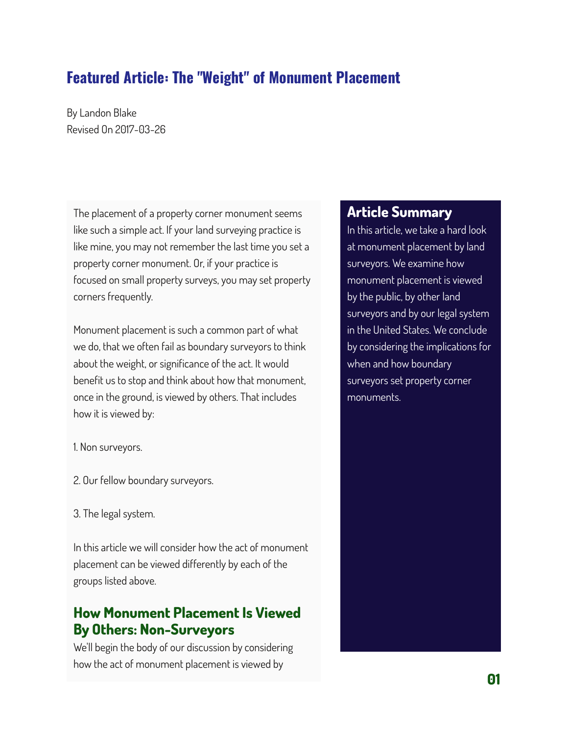# **Featured Article: The "Weight" of Monument Placement**

By Landon Blake Revised On 2017-03-26

The placement of a property corner monument seems like such a simple act. If your land surveying practice is like mine, you may not remember the last time you set a property corner monument. Or, if your practice is focused on small property surveys, you may set property corners frequently.

Monument placement is such a common part of what we do, that we often fail as boundary surveyors to think about the weight, or significance of the act. It would benefit us to stop and think about how that monument, once in the ground, is viewed by others. That includes how it is viewed by:

1. Non surveyors.

- 2. Our fellow boundary surveyors.
- 3. The legal system.

In this article we will consider how the act of monument placement can be viewed differently by each of the groups listed above.

## **How Monument Placement Is Viewed By Others: Non-Surveyors**

We'll begin the body of our discussion by considering how the act of monument placement is viewed by

#### **Article Summary**

In this article, we take a hard look at monument placement by land surveyors. We examine how monument placement is viewed by the public, by other land surveyors and by our legal system in the United States. We conclude by considering the implications for when and how boundary surveyors set property corner monuments.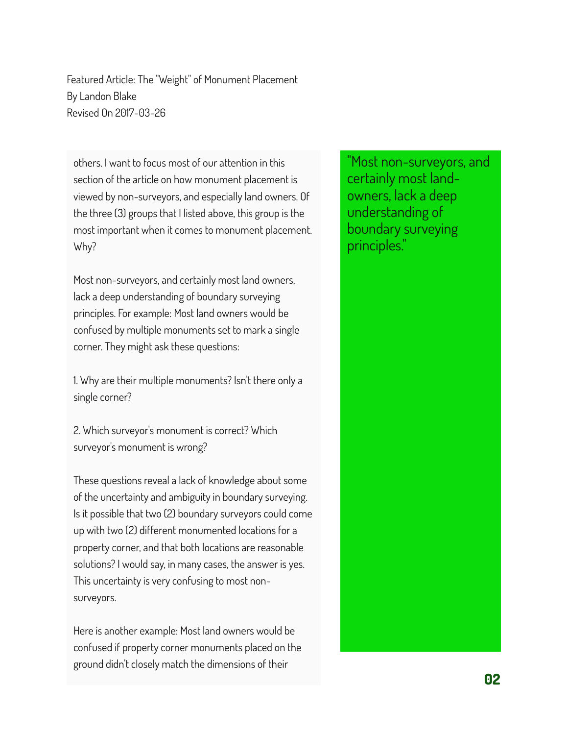others. I want to focus most of our attention in this section of the article on how monument placement is viewed by non-surveyors, and especially land owners. Of the three (3) groups that I listed above, this group is the most important when it comes to monument placement. Why?

Most non-surveyors, and certainly most land owners, lack a deep understanding of boundary surveying principles. For example: Most land owners would be confused by multiple monuments set to mark a single corner. They might ask these questions:

1. Why are their multiple monuments? Isn't there only a single corner?

2. Which surveyor's monument is correct? Which surveyor's monument is wrong?

These questions reveal a lack of knowledge about some of the uncertainty and ambiguity in boundary surveying. Is it possible that two (2) boundary surveyors could come up with two (2) different monumented locations for a property corner, and that both locations are reasonable solutions? I would say, in many cases, the answer is yes. This uncertainty is very confusing to most nonsurveyors.

Here is another example: Most land owners would be confused if property corner monuments placed on the ground didn't closely match the dimensions of their

"Most non-surveyors, and certainly most landowners, lack a deep understanding of boundary surveying principles."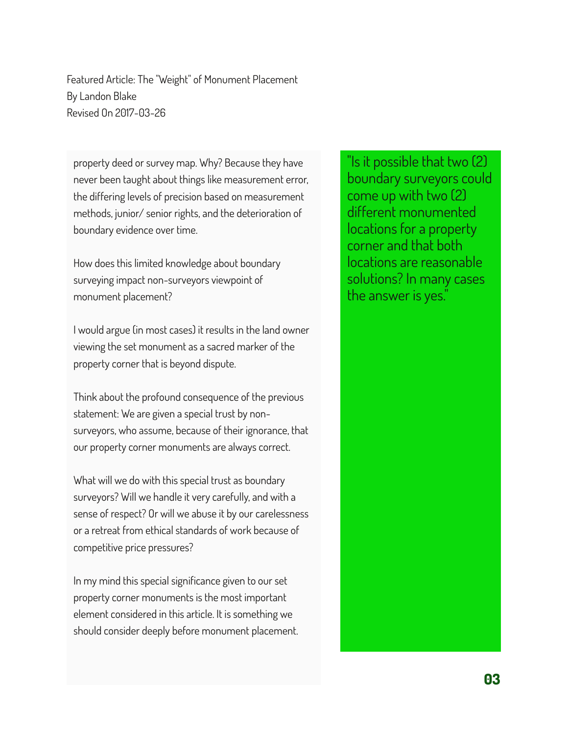property deed or survey map. Why? Because they have never been taught about things like measurement error, the differing levels of precision based on measurement methods, junior/ senior rights, and the deterioration of boundary evidence over time.

How does this limited knowledge about boundary surveying impact non-surveyors viewpoint of monument placement?

I would argue (in most cases) it results in the land owner viewing the set monument as a sacred marker of the property corner that is beyond dispute.

Think about the profound consequence of the previous statement: We are given a special trust by nonsurveyors, who assume, because of their ignorance, that our property corner monuments are always correct.

What will we do with this special trust as boundary surveyors? Will we handle it very carefully, and with a sense of respect? Or will we abuse it by our carelessness or a retreat from ethical standards of work because of competitive price pressures?

In my mind this special significance given to our set property corner monuments is the most important element considered in this article. It is something we should consider deeply before monument placement.

"Is it possible that two (2) boundary surveyors could come up with two (2) different monumented locations for a property corner and that both locations are reasonable solutions? In many cases the answer is yes."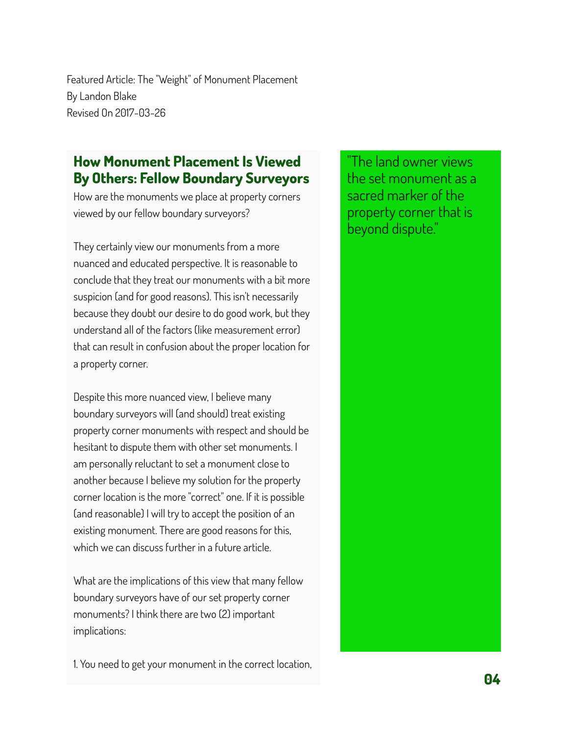### **How Monument Placement Is Viewed By Others: Fellow Boundary Surveyors**

How are the monuments we place at property corners viewed by our fellow boundary surveyors?

They certainly view our monuments from a more nuanced and educated perspective. It is reasonable to conclude that they treat our monuments with a bit more suspicion (and for good reasons). This isn't necessarily because they doubt our desire to do good work, but they understand all of the factors (like measurement error) that can result in confusion about the proper location for a property corner.

Despite this more nuanced view, I believe many boundary surveyors will (and should) treat existing property corner monuments with respect and should be hesitant to dispute them with other set monuments. I am personally reluctant to set a monument close to another because I believe my solution for the property corner location is the more "correct" one. If it is possible (and reasonable) I will try to accept the position of an existing monument. There are good reasons for this, which we can discuss further in a future article.

What are the implications of this view that many fellow boundary surveyors have of our set property corner monuments? I think there are two (2) important implications:

1. You need to get your monument in the correct location,

"The land owner views the set monument as a sacred marker of the property corner that is beyond dispute."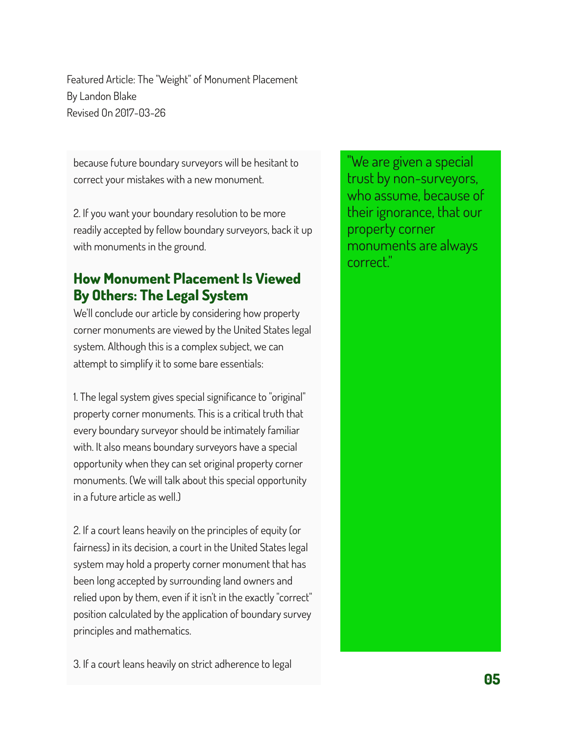because future boundary surveyors will be hesitant to correct your mistakes with a new monument.

2. If you want your boundary resolution to be more readily accepted by fellow boundary surveyors, back it up with monuments in the ground.

## **How Monument Placement Is Viewed By Others: The Legal System**

We'll conclude our article by considering how property corner monuments are viewed by the United States legal system. Although this is a complex subject, we can attempt to simplify it to some bare essentials:

1. The legal system gives special significance to "original" property corner monuments. This is a critical truth that every boundary surveyor should be intimately familiar with. It also means boundary surveyors have a special opportunity when they can set original property corner monuments. (We will talk about this special opportunity in a future article as well.)

2. If a court leans heavily on the principles of equity (or fairness) in its decision, a court in the United States legal system may hold a property corner monument that has been long accepted by surrounding land owners and relied upon by them, even if it isn't in the exactly "correct" position calculated by the application of boundary survey principles and mathematics.

3. If a court leans heavily on strict adherence to legal

"We are given a special trust by non-surveyors, who assume, because of their ignorance, that our property corner monuments are always correct."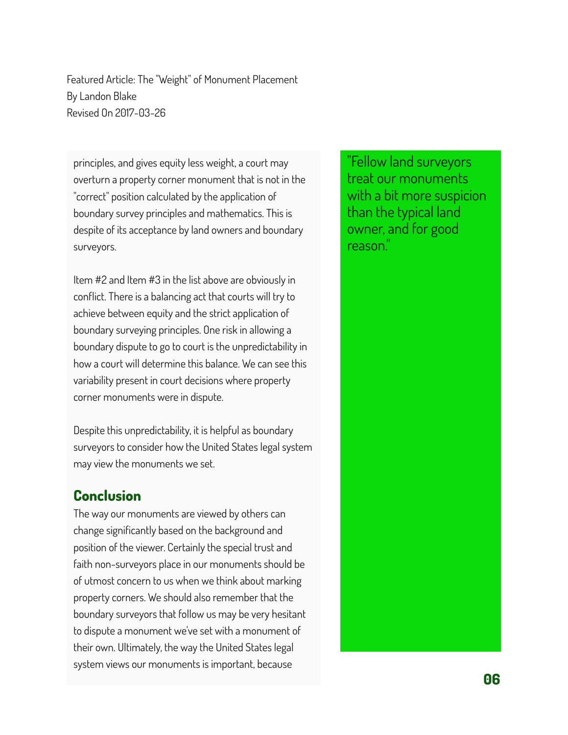principles, and gives equity less weight, a court may overturn a property corner monument that is not in the "correct" position calculated by the application of boundary survey principles and mathematics. This is despite of its acceptance by land owners and boundary surveyors.

Item #2 and Item #3 in the list above are obviously in conflict. There is a balancing act that courts will try to achieve between equity and the strict application of boundary surveying principles. One risk in allowing a boundary dispute to go to court is the unpredictability in how a court will determine this balance. We can see this variability present in court decisions where property corner monuments were in dispute.

Despite this unpredictability, it is helpful as boundary surveyors to consider how the United States legal system may view the monuments we set.

#### **Conclusion**

The way our monuments are viewed by others can change significantly based on the background and position of the viewer. Certainly the special trust and faith non-surveyors place in our monuments should be of utmost concern to us when we think about marking property corners. We should also remember that the boundary surveyors that follow us may be very hesitant to dispute a monument we've set with a monument of their own. Ultimately, the way the United States legal system views our monuments is important, because

"Fellow land surveyors treat our monuments with a bit more suspicion than the typical land owner, and for good reason."